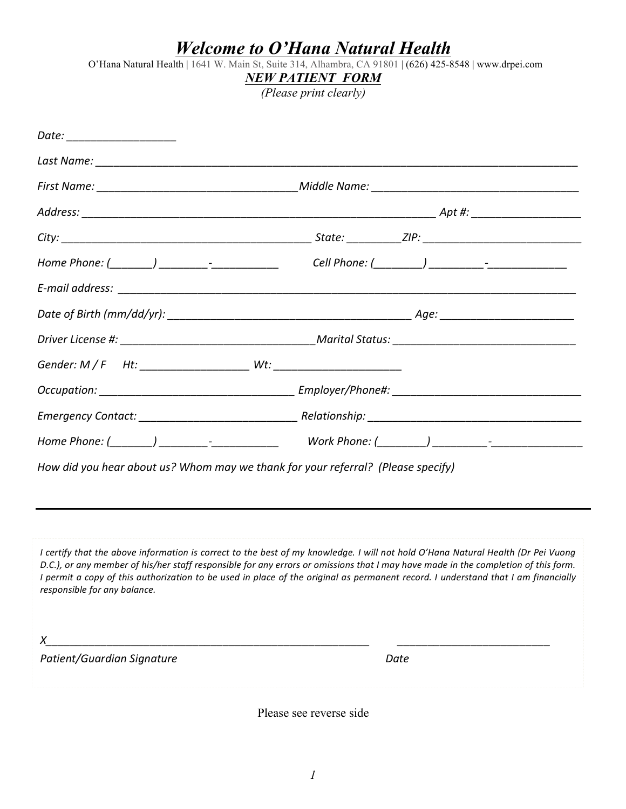## *Welcome to O'Hana Natural Health*

O'Hana Natural Health | 1641 W. Main St, Suite 314, Alhambra, CA 91801 | (626) 425-8548 | www.drpei.com

## *NEW PATIENT FORM*

*(Please print clearly)*

| Date: ___________________                                                        |  |
|----------------------------------------------------------------------------------|--|
|                                                                                  |  |
|                                                                                  |  |
|                                                                                  |  |
|                                                                                  |  |
|                                                                                  |  |
|                                                                                  |  |
|                                                                                  |  |
|                                                                                  |  |
|                                                                                  |  |
|                                                                                  |  |
|                                                                                  |  |
|                                                                                  |  |
| How did you hear about us? Whom may we thank for your referral? (Please specify) |  |
|                                                                                  |  |
|                                                                                  |  |

*I* certify that the above information is correct to the best of my knowledge. I will not hold O'Hana Natural Health (Dr Pei Vuong D.C.), or any member of his/her staff responsible for any errors or omissions that I may have made in the completion of this form. *I* permit a copy of this authorization to be used in place of the original as permanent record. I understand that I am financially *responsible for any balance.* 

*X\_\_\_\_\_\_\_\_\_\_\_\_\_\_\_\_\_\_\_\_\_\_\_\_\_\_\_\_\_\_\_\_\_\_\_\_\_\_\_\_\_\_\_\_\_\_\_\_\_\_\_\_\_ \_\_\_\_\_\_\_\_\_\_\_\_\_\_\_\_\_\_\_\_\_\_\_\_\_*

**Patient/Guardian Signature** *n <i>m <i>m Date* 

Please see reverse side